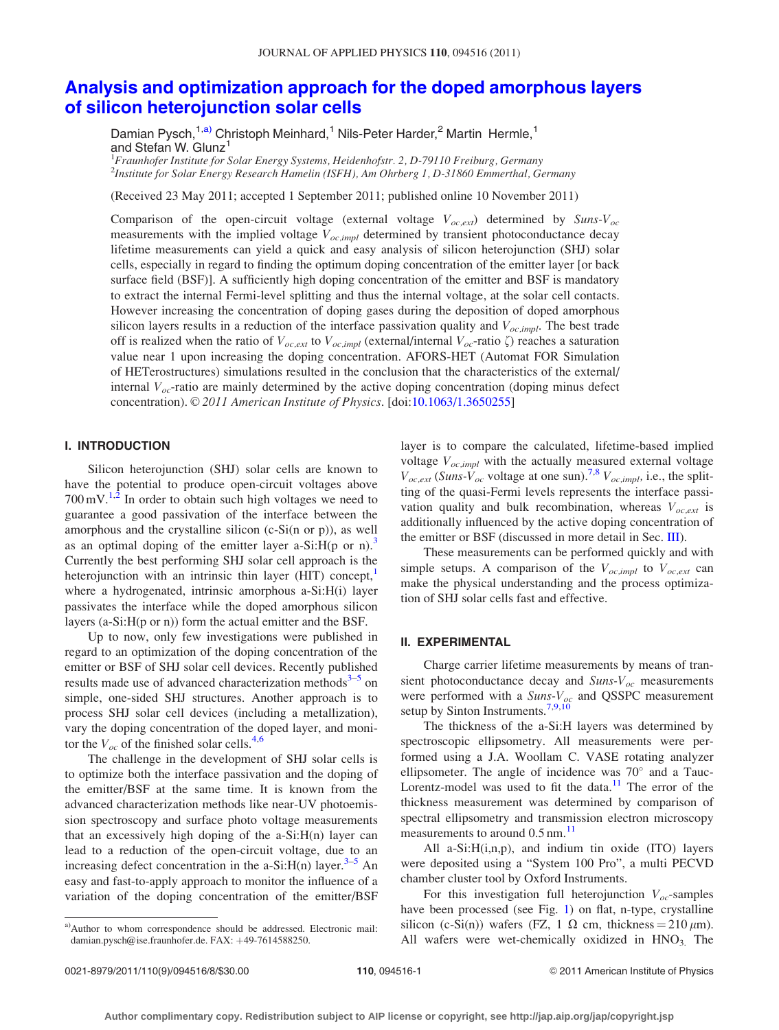# [Analysis and optimization approach for the doped amorphous layers](http://dx.doi.org/10.1063/1.3650255) [of silicon heterojunction solar cells](http://dx.doi.org/10.1063/1.3650255)

Damian Pysch,<sup>1,a)</sup> Christoph Meinhard,<sup>1</sup> Nils-Peter Harder,<sup>2</sup> Martin Hermle,<sup>1</sup> and Stefan W. Glunz<sup>1</sup>

<sup>1</sup>Fraunhofer Institute for Solar Energy Systems, Heidenhofstr. 2, D-79110 Freiburg, Germany 2 Institute for Solar Energy Research Hamelin (ISFH), Am Ohrberg 1, D-31860 Emmerthal, Germany

(Received 23 May 2011; accepted 1 September 2011; published online 10 November 2011)

Comparison of the open-circuit voltage (external voltage  $V_{oc,ext}$ ) determined by Suns- $V_{oc}$ measurements with the implied voltage  $V_{oc,impl}$  determined by transient photoconductance decay lifetime measurements can yield a quick and easy analysis of silicon heterojunction (SHJ) solar cells, especially in regard to finding the optimum doping concentration of the emitter layer [or back surface field (BSF)]. A sufficiently high doping concentration of the emitter and BSF is mandatory to extract the internal Fermi-level splitting and thus the internal voltage, at the solar cell contacts. However increasing the concentration of doping gases during the deposition of doped amorphous silicon layers results in a reduction of the interface passivation quality and  $V_{oc,impl}$ . The best trade off is realized when the ratio of  $V_{oc,ext}$  to  $V_{oc,impl}$  (external/internal  $V_{oc}$ -ratio  $\zeta$ ) reaches a saturation value near 1 upon increasing the doping concentration. AFORS-HET (Automat FOR Simulation of HETerostructures) simulations resulted in the conclusion that the characteristics of the external/ internal  $V_{oc}$ -ratio are mainly determined by the active doping concentration (doping minus defect concentration). © 2011 American Institute of Physics. [doi:[10.1063/1.3650255\]](http://dx.doi.org/10.1063/1.3650255)

#### I. INTRODUCTION

Silicon heterojunction (SHJ) solar cells are known to have the potential to produce open-circuit voltages above  $700 \,\mathrm{mV}$ .<sup>[1,2](#page-7-0)</sup> In order to obtain such high voltages we need to guarantee a good passivation of the interface between the amorphous and the crystalline silicon (c-Si(n or p)), as well as an optimal doping of the emitter layer a-Si:H(p or n).<sup>3</sup> Currently the best performing SHJ solar cell approach is the heterojunction with an intrinsic thin layer (HIT) concept, where a hydrogenated, intrinsic amorphous a-Si:H(i) layer passivates the interface while the doped amorphous silicon layers (a-Si:H(p or n)) form the actual emitter and the BSF.

Up to now, only few investigations were published in regard to an optimization of the doping concentration of the emitter or BSF of SHJ solar cell devices. Recently published results made use of advanced characterization methods $3-5$  on simple, one-sided SHJ structures. Another approach is to process SHJ solar cell devices (including a metallization), vary the doping concentration of the doped layer, and monitor the  $V_{oc}$  of the finished solar cells.<sup>[4,6](#page-7-0)</sup>

The challenge in the development of SHJ solar cells is to optimize both the interface passivation and the doping of the emitter/BSF at the same time. It is known from the advanced characterization methods like near-UV photoemission spectroscopy and surface photo voltage measurements that an excessively high doping of the a-Si:H(n) layer can lead to a reduction of the open-circuit voltage, due to an increasing defect concentration in the a-Si: $H(n)$  layer.<sup>[3](#page-7-0)–[5](#page-7-0)</sup> An easy and fast-to-apply approach to monitor the influence of a variation of the doping concentration of the emitter/BSF layer is to compare the calculated, lifetime-based implied voltage  $V_{oc,impl}$  with the actually measured external voltage  $V_{oc,ext}$  (Suns- $V_{oc}$  voltage at one sun).<sup>[7,8](#page-7-0)</sup>  $V_{oc,impl}$ , i.e., the splitting of the quasi-Fermi levels represents the interface passivation quality and bulk recombination, whereas  $V_{oc,ext}$  is additionally influenced by the active doping concentration of the emitter or BSF (discussed in more detail in Sec. [III](#page-1-0)).

These measurements can be performed quickly and with simple setups. A comparison of the  $V_{oc,impl}$  to  $V_{oc,ext}$  can make the physical understanding and the process optimization of SHJ solar cells fast and effective.

## II. EXPERIMENTAL

Charge carrier lifetime measurements by means of transient photoconductance decay and  $Suns-V_{oc}$  measurements were performed with a  $Suns-V_{oc}$  and QSSPC measurement setup by Sinton Instruments.<sup>[7,9](#page-7-0),[10](#page-7-0)</sup>

The thickness of the a-Si:H layers was determined by spectroscopic ellipsometry. All measurements were performed using a J.A. Woollam C. VASE rotating analyzer ellipsometer. The angle of incidence was  $70^{\circ}$  and a Tauc-Lorentz-model was used to fit the data. $11$  The error of the thickness measurement was determined by comparison of spectral ellipsometry and transmission electron microscopy measurements to around 0.5 nm.<sup>11</sup>

All a-Si:H(i,n,p), and indium tin oxide (ITO) layers were deposited using a "System 100 Pro", a multi PECVD chamber cluster tool by Oxford Instruments.

For this investigation full heterojunction  $V_{oc}$ -samples have been processed (see Fig. [1\)](#page-1-0) on flat, n-type, crystalline silicon (c-Si(n)) wafers (FZ, 1  $\Omega$  cm, thickness = 210  $\mu$ m). All wafers were wet-chemically oxidized in  $HNO<sub>3</sub>$ . The

a)Author to whom correspondence should be addressed. Electronic mail: damian.pysch@ise.fraunhofer.de. FAX: +49-7614588250.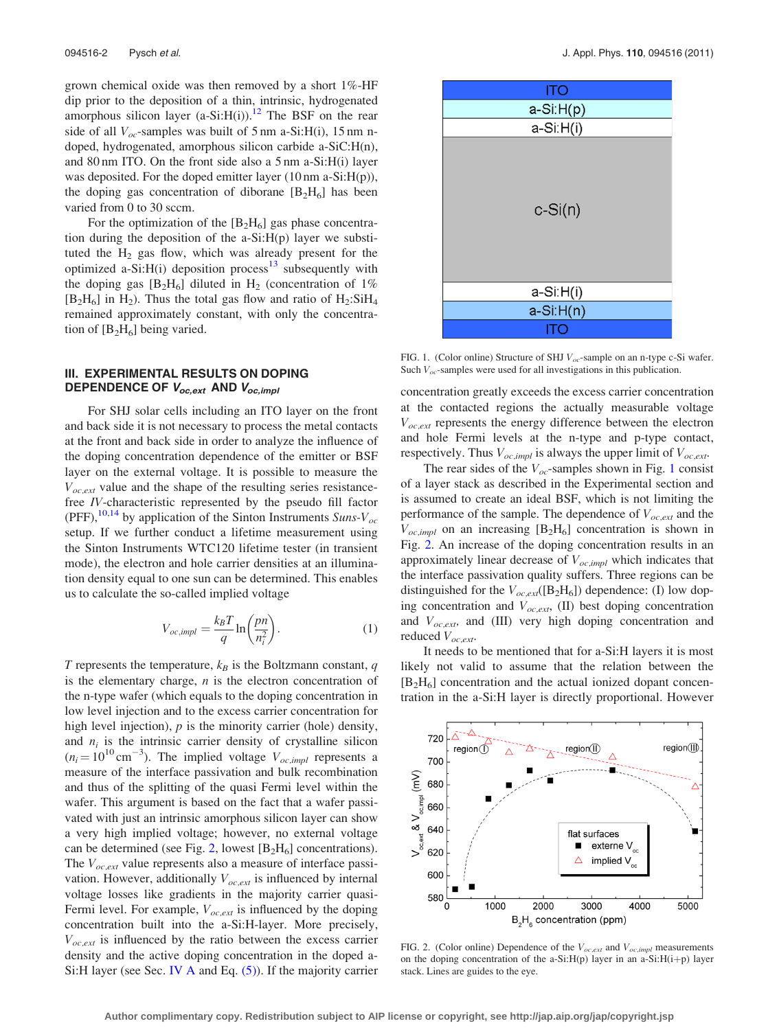<span id="page-1-0"></span>grown chemical oxide was then removed by a short 1%-HF dip prior to the deposition of a thin, intrinsic, hydrogenated amorphous silicon layer  $(a-Si:H(i))$ .<sup>12</sup> The BSF on the rear side of all  $V_{oc}$ -samples was built of 5 nm a-Si:H(i), 15 nm ndoped, hydrogenated, amorphous silicon carbide a-SiC:H(n), and 80 nm ITO. On the front side also a 5 nm a-Si:H(i) layer was deposited. For the doped emitter layer (10 nm a-Si:H(p)), the doping gas concentration of diborane  $[B_2H_6]$  has been varied from 0 to 30 sccm.

For the optimization of the  $[B_2H_6]$  gas phase concentration during the deposition of the a-Si:H(p) layer we substituted the  $H_2$  gas flow, which was already present for the optimized a-Si: $H(i)$  deposition process<sup>[13](#page-7-0)</sup> subsequently with the doping gas  $[B_2H_6]$  diluted in  $H_2$  (concentration of 1%)  $[B_2H_6]$  in H<sub>2</sub>). Thus the total gas flow and ratio of H<sub>2</sub>:SiH<sub>4</sub> remained approximately constant, with only the concentration of  $[B_2H_6]$  being varied.

# III. EXPERIMENTAL RESULTS ON DOPING DEPENDENCE OF  $V_{oc,ext}$  AND  $V_{oc,impl}$

For SHJ solar cells including an ITO layer on the front and back side it is not necessary to process the metal contacts at the front and back side in order to analyze the influence of the doping concentration dependence of the emitter or BSF layer on the external voltage. It is possible to measure the  $V_{oc,ext}$  value and the shape of the resulting series resistancefree IV-characteristic represented by the pseudo fill factor (PFF),  $^{10,14}$  $^{10,14}$  $^{10,14}$  by application of the Sinton Instruments Suns-V<sub>oc</sub> setup. If we further conduct a lifetime measurement using the Sinton Instruments WTC120 lifetime tester (in transient mode), the electron and hole carrier densities at an illumination density equal to one sun can be determined. This enables us to calculate the so-called implied voltage

$$
V_{oc,impl} = \frac{k_B T}{q} \ln \left( \frac{pn}{n_i^2} \right). \tag{1}
$$

T represents the temperature,  $k_B$  is the Boltzmann constant, q is the elementary charge,  $n$  is the electron concentration of the n-type wafer (which equals to the doping concentration in low level injection and to the excess carrier concentration for high level injection),  $p$  is the minority carrier (hole) density, and  $n_i$  is the intrinsic carrier density of crystalline silicon  $(n_i = 10^{10} \text{ cm}^{-3})$ . The implied voltage  $V_{oc,impl}$  represents a measure of the interface passivation and bulk recombination and thus of the splitting of the quasi Fermi level within the wafer. This argument is based on the fact that a wafer passivated with just an intrinsic amorphous silicon layer can show a very high implied voltage; however, no external voltage can be determined (see Fig. 2, lowest  $[B_2H_6]$  concentrations). The  $V_{oc,ext}$  value represents also a measure of interface passivation. However, additionally  $V_{oc,ext}$  is influenced by internal voltage losses like gradients in the majority carrier quasi-Fermi level. For example,  $V_{oc,ext}$  is influenced by the doping concentration built into the a-Si:H-layer. More precisely,  $V_{oc,ext}$  is influenced by the ratio between the excess carrier density and the active doping concentration in the doped a-Si:H layer (see Sec. [IV A](#page-2-0) and Eq.  $(5)$ ). If the majority carrier



FIG. 1. (Color online) Structure of SHJ  $V_{oc}$ -sample on an n-type c-Si wafer. Such  $V_{oc}$ -samples were used for all investigations in this publication.

concentration greatly exceeds the excess carrier concentration at the contacted regions the actually measurable voltage  $V_{oc,ext}$  represents the energy difference between the electron and hole Fermi levels at the n-type and p-type contact, respectively. Thus  $V_{oc,impl}$  is always the upper limit of  $V_{oc,ext}$ .

The rear sides of the  $V_{oc}$ -samples shown in Fig. 1 consist of a layer stack as described in the Experimental section and is assumed to create an ideal BSF, which is not limiting the performance of the sample. The dependence of  $V_{oc,ext}$  and the  $V_{oc,impl}$  on an increasing [B<sub>2</sub>H<sub>6</sub>] concentration is shown in Fig. 2. An increase of the doping concentration results in an approximately linear decrease of  $V_{oc,impl}$  which indicates that the interface passivation quality suffers. Three regions can be distinguished for the  $V_{oc,ext}([B_2H_6])$  dependence: (I) low doping concentration and  $V_{oc,ext}$ , (II) best doping concentration and  $V_{oc,ext}$ , and (III) very high doping concentration and reduced  $V_{oc,ext}$ .

It needs to be mentioned that for a-Si:H layers it is most likely not valid to assume that the relation between the  $[B<sub>2</sub>H<sub>6</sub>]$  concentration and the actual ionized dopant concentration in the a-Si:H layer is directly proportional. However



FIG. 2. (Color online) Dependence of the  $V_{oc,ext}$  and  $V_{oc,impl}$  measurements on the doping concentration of the a-Si: $H(p)$  layer in an a-Si: $H(i+p)$  layer stack. Lines are guides to the eye.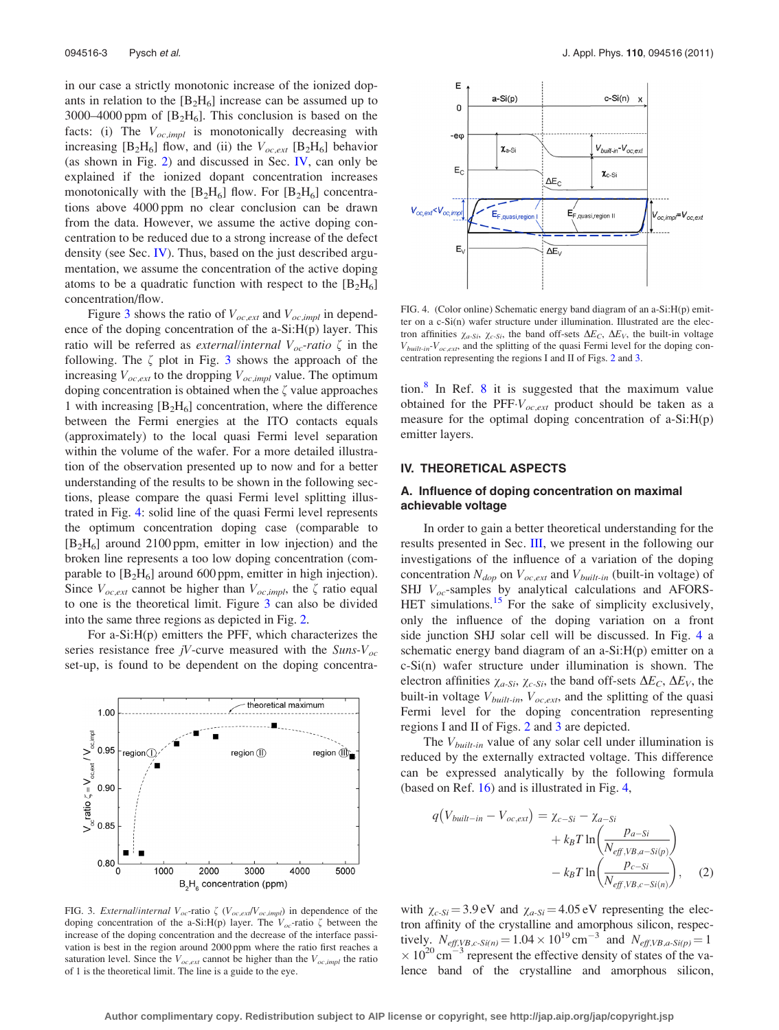<span id="page-2-0"></span>in our case a strictly monotonic increase of the ionized dopants in relation to the  $[B_2H_6]$  increase can be assumed up to 3000–4000 ppm of  $[B_2H_6]$ . This conclusion is based on the facts: (i) The  $V_{oc,impl}$  is monotonically decreasing with increasing  $[B_2H_6]$  flow, and (ii) the  $V_{oc,ext}$  [B<sub>2</sub>H<sub>6</sub>] behavior (as shown in Fig. [2](#page-1-0)) and discussed in Sec. IV, can only be explained if the ionized dopant concentration increases monotonically with the  $[B_2H_6]$  flow. For  $[B_2H_6]$  concentrations above 4000 ppm no clear conclusion can be drawn from the data. However, we assume the active doping concentration to be reduced due to a strong increase of the defect density (see Sec. IV). Thus, based on the just described argumentation, we assume the concentration of the active doping atoms to be a quadratic function with respect to the  $[B_2H_6]$ concentration/flow.

Figure 3 shows the ratio of  $V_{oc,ext}$  and  $V_{oc,impl}$  in dependence of the doping concentration of the a-Si:H(p) layer. This ratio will be referred as *external/internal*  $V_{oc}$ -ratio  $\zeta$  in the following. The  $\zeta$  plot in Fig. 3 shows the approach of the increasing  $V_{oc,ext}$  to the dropping  $V_{oc,impl}$  value. The optimum doping concentration is obtained when the  $\zeta$  value approaches 1 with increasing  $[B_2H_6]$  concentration, where the difference between the Fermi energies at the ITO contacts equals (approximately) to the local quasi Fermi level separation within the volume of the wafer. For a more detailed illustration of the observation presented up to now and for a better understanding of the results to be shown in the following sections, please compare the quasi Fermi level splitting illustrated in Fig. 4: solid line of the quasi Fermi level represents the optimum concentration doping case (comparable to  $[B_2H_6]$  around 2100 ppm, emitter in low injection) and the broken line represents a too low doping concentration (comparable to  $[B_2H_6]$  around 600 ppm, emitter in high injection). Since  $V_{oc,ext}$  cannot be higher than  $V_{oc,impl}$ , the  $\zeta$  ratio equal to one is the theoretical limit. Figure 3 can also be divided into the same three regions as depicted in Fig. [2.](#page-1-0)

For a-Si:H(p) emitters the PFF, which characterizes the series resistance free jV-curve measured with the  $Suns-V_{oc}$ set-up, is found to be dependent on the doping concentra-



FIG. 3. *External/internal*  $V_{oc}$ -ratio  $\zeta$  ( $V_{oc,exf}/V_{oc,impl}$ ) in dependence of the doping concentration of the a-Si:H(p) layer. The  $V_{oc}$ -ratio  $\zeta$  between the increase of the doping concentration and the decrease of the interface passivation is best in the region around 2000 ppm where the ratio first reaches a saturation level. Since the  $V_{oc,ext}$  cannot be higher than the  $V_{oc,impl}$  the ratio of 1 is the theoretical limit. The line is a guide to the eye.



FIG. 4. (Color online) Schematic energy band diagram of an a-Si:H(p) emitter on a c-Si(n) wafer structure under illumination. Illustrated are the electron affinities  $\chi_{a-Si}$ ,  $\chi_{c-Si}$ , the band off-sets  $\Delta E_C$ ,  $\Delta E_V$ , the built-in voltage  $V_{built-in}$ - $V_{oc,ext}$ , and the splitting of the quasi Fermi level for the doping concentration representing the regions I and II of Figs. [2](#page-1-0) and 3.

tion.<sup>[8](#page-7-0)</sup> In Ref. 8 it is suggested that the maximum value obtained for the  $PFF-V_{oc,ext}$  product should be taken as a measure for the optimal doping concentration of a-Si:H(p) emitter layers.

# IV. THEORETICAL ASPECTS

## A. Influence of doping concentration on maximal achievable voltage

In order to gain a better theoretical understanding for the results presented in Sec. [III,](#page-1-0) we present in the following our investigations of the influence of a variation of the doping concentration  $N_{dop}$  on  $V_{oc,ext}$  and  $V_{built-in}$  (built-in voltage) of SHJ  $V_{oc}$ -samples by analytical calculations and AFORS-HET simulations.<sup>15</sup> For the sake of simplicity exclusively, only the influence of the doping variation on a front side junction SHJ solar cell will be discussed. In Fig. 4 a schematic energy band diagram of an a-Si:H(p) emitter on a c-Si(n) wafer structure under illumination is shown. The electron affinities  $\chi_{a-Si}$ ,  $\chi_{c-Si}$ , the band off-sets  $\Delta E_C$ ,  $\Delta E_V$ , the built-in voltage  $V_{built-in}$ ,  $V_{oc,ext}$ , and the splitting of the quasi Fermi level for the doping concentration representing regions I and II of Figs. [2](#page-1-0) and 3 are depicted.

The  $V_{built-in}$  value of any solar cell under illumination is reduced by the externally extracted voltage. This difference can be expressed analytically by the following formula (based on Ref. [16\)](#page-7-0) and is illustrated in Fig. 4,

$$
q(V_{built-in} - V_{oc,ext}) = \chi_{c-Si} - \chi_{a-Si}
$$

$$
+ k_B T \ln \left( \frac{p_{a-Si}}{N_{eff,VB,a-Si(p)}} \right)
$$

$$
- k_B T \ln \left( \frac{p_{c-Si}}{N_{eff,VB,c-Si(n)}} \right), \quad (2)
$$

with  $\chi_{c-Si} = 3.9 \text{ eV}$  and  $\chi_{a-Si} = 4.05 \text{ eV}$  representing the electron affinity of the crystalline and amorphous silicon, respectively.  $N_{eff,VB, c-Si(n)} = 1.04 \times 10^{19} \text{ cm}^{-3}$  and  $N_{eff,VB, a-Si(p)} = 1$  $\times$  10<sup>20</sup> cm<sup>-3</sup> represent the effective density of states of the valence band of the crystalline and amorphous silicon,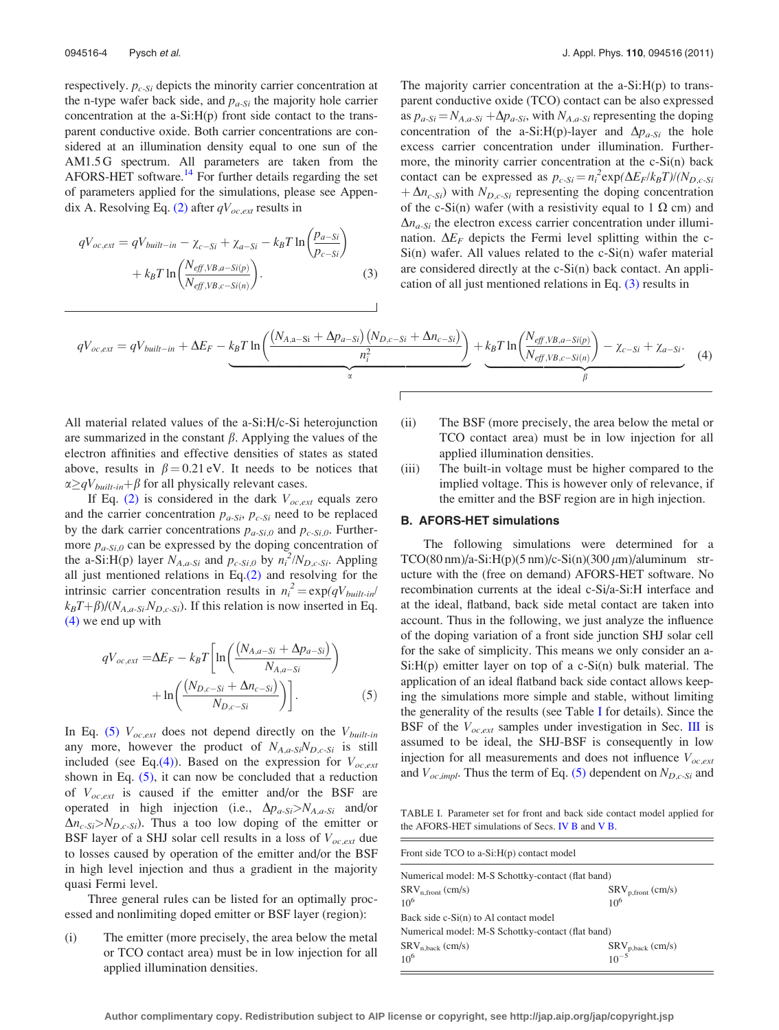<span id="page-3-0"></span>respectively.  $p_{c-Si}$  depicts the minority carrier concentration at the n-type wafer back side, and  $p_{a-Si}$  the majority hole carrier concentration at the a-Si:H(p) front side contact to the transparent conductive oxide. Both carrier concentrations are considered at an illumination density equal to one sun of the AM1.5 G spectrum. All parameters are taken from the AFORS-HET software.<sup>14</sup> For further details regarding the set of parameters applied for the simulations, please see Appen-dix A. Resolving Eq. [\(2\)](#page-2-0) after  $qV_{oc,ext}$  results in

$$
qV_{oc,ext} = qV_{built-in} - \chi_{c-Si} + \chi_{a-Si} - k_B T \ln \left( \frac{p_{a-Si}}{p_{c-Si}} \right) + k_B T \ln \left( \frac{N_{eff,VB,a-Si(p)}}{N_{eff,VB,c-Si(n)}} \right).
$$
 (3)

The majority carrier concentration at the a-Si:H(p) to transparent conductive oxide (TCO) contact can be also expressed as  $p_{a-Si} = N_{A,a-Si} + \Delta p_{a-Si}$ , with  $N_{A,a-Si}$  representing the doping concentration of the a-Si:H(p)-layer and  $\Delta p_{a-Si}$  the hole excess carrier concentration under illumination. Furthermore, the minority carrier concentration at the c-Si(n) back contact can be expressed as  $p_{c-Si} = n_i^2 \exp(\Delta E_F / k_B T) / (N_{D,c-Si})$  $+\Delta n_{c-Si}$ ) with  $N_{D,c-Si}$  representing the doping concentration of the c-Si(n) wafer (with a resistivity equal to 1  $\Omega$  cm) and  $\Delta n_{a-Si}$  the electron excess carrier concentration under illumination.  $\Delta E_F$  depicts the Fermi level splitting within the c-Si(n) wafer. All values related to the c-Si(n) wafer material are considered directly at the c-Si(n) back contact. An application of all just mentioned relations in Eq. (3) results in

$$
qV_{oc,ext} = qV_{built-in} + \Delta E_F - k_B T \ln \left( \frac{(N_{A,a-Si} + \Delta p_{a-Si})(N_{D,c-Si} + \Delta n_{c-Si})}{n_i^2} \right) + k_B T \ln \left( \frac{N_{eff,VB,a-Si(p)}}{N_{eff,VB,c-Si(n)}} \right) - \chi_{c-Si} + \chi_{a-Si}.
$$
 (4)

All material related values of the a-Si:H/c-Si heterojunction are summarized in the constant  $\beta$ . Applying the values of the electron affinities and effective densities of states as stated above, results in  $\beta = 0.21$  eV. It needs to be notices that  $\alpha \geq qV_{built-in} + \beta$  for all physically relevant cases.

If Eq. [\(2\)](#page-2-0) is considered in the dark  $V_{oc,ext}$  equals zero and the carrier concentration  $p_{a-Si}$ ,  $p_{c-Si}$  need to be replaced by the dark carrier concentrations  $p_{a-Si,0}$  and  $p_{c-Si,0}$ . Furthermore  $p_{a-Si,0}$  can be expressed by the doping concentration of the a-Si:H(p) layer  $N_{A,a-Si}$  and  $p_{c-Si,0}$  by  $n_i^2/N_{D,c-Si}$ . Appling all just mentioned relations in Eq.[\(2\)](#page-2-0) and resolving for the intrinsic carrier concentration results in  $n_i^2 = \exp(qV_{built-in}/qV_{built-in})$  $k_BT+\beta$ )/( $N_{A,a-Si}N_{D,c-Si}$ ). If this relation is now inserted in Eq. (4) we end up with

$$
qV_{oc,ext} = \Delta E_F - k_B T \left[ \ln \left( \frac{(N_{A,a-Si} + \Delta p_{a-Si})}{N_{A,a-Si}} \right) + \ln \left( \frac{(N_{D,c-Si} + \Delta n_{c-Si})}{N_{D,c-Si}} \right) \right].
$$
 (5)

In Eq. (5)  $V_{oc,ext}$  does not depend directly on the  $V_{built-in}$ any more, however the product of  $N_{A,a-Si}N_{D,c-Si}$  is still included (see Eq.(4)). Based on the expression for  $V_{oc,ext}$ shown in Eq.  $(5)$ , it can now be concluded that a reduction of  $V_{oc,ext}$  is caused if the emitter and/or the BSF are operated in high injection (i.e.,  $\Delta p_{a-Si} > N_{A,a-Si}$  and/or  $\Delta n_{c-Si} > N_{D,c-Si}$ ). Thus a too low doping of the emitter or BSF layer of a SHJ solar cell results in a loss of  $V_{oc,ext}$  due to losses caused by operation of the emitter and/or the BSF in high level injection and thus a gradient in the majority quasi Fermi level.

Three general rules can be listed for an optimally processed and nonlimiting doped emitter or BSF layer (region):

(i) The emitter (more precisely, the area below the metal or TCO contact area) must be in low injection for all applied illumination densities.

- (ii) The BSF (more precisely, the area below the metal or TCO contact area) must be in low injection for all applied illumination densities.
- (iii) The built-in voltage must be higher compared to the implied voltage. This is however only of relevance, if the emitter and the BSF region are in high injection.

### B. AFORS-HET simulations

The following simulations were determined for a  $TCO(80 \text{ nm})/a-Si:H(p)(5 \text{ nm})/c-Si(n)(300 \mu\text{m})/aluminum str$ ucture with the (free on demand) AFORS-HET software. No recombination currents at the ideal c-Si/a-Si:H interface and at the ideal, flatband, back side metal contact are taken into account. Thus in the following, we just analyze the influence of the doping variation of a front side junction SHJ solar cell for the sake of simplicity. This means we only consider an a- $Si:H(p)$  emitter layer on top of a c- $Si(n)$  bulk material. The application of an ideal flatband back side contact allows keeping the simulations more simple and stable, without limiting the generality of the results (see Table I for details). Since the BSF of the  $V_{oc,ext}$  samples under investigation in Sec. [III](#page-1-0) is assumed to be ideal, the SHJ-BSF is consequently in low injection for all measurements and does not influence  $V_{oc,ext}$ and  $V_{oc,impl}$ . Thus the term of Eq. (5) dependent on  $N_{D,c-Si}$  and

TABLE I. Parameter set for front and back side contact model applied for the AFORS-HET simulations of Secs. IV B and [V B](#page-6-0).

| Front side TCO to a- $Si:H(p)$ contact model      |                        |  |  |  |  |
|---------------------------------------------------|------------------------|--|--|--|--|
| Numerical model: M-S Schottky-contact (flat band) |                        |  |  |  |  |
| $SRV_{n.front}$ (cm/s)                            | $SRV_{p,front}$ (cm/s) |  |  |  |  |
| $10^{6}$                                          | $10^{6}$               |  |  |  |  |
| Back side c-Si(n) to Al contact model             |                        |  |  |  |  |
| Numerical model: M-S Schottky-contact (flat band) |                        |  |  |  |  |
| $SRV_{n,\text{back}}$ (cm/s)                      | $SRV_{p,back}(cm/s)$   |  |  |  |  |
| $10^{6}$                                          | $10^{-5}$              |  |  |  |  |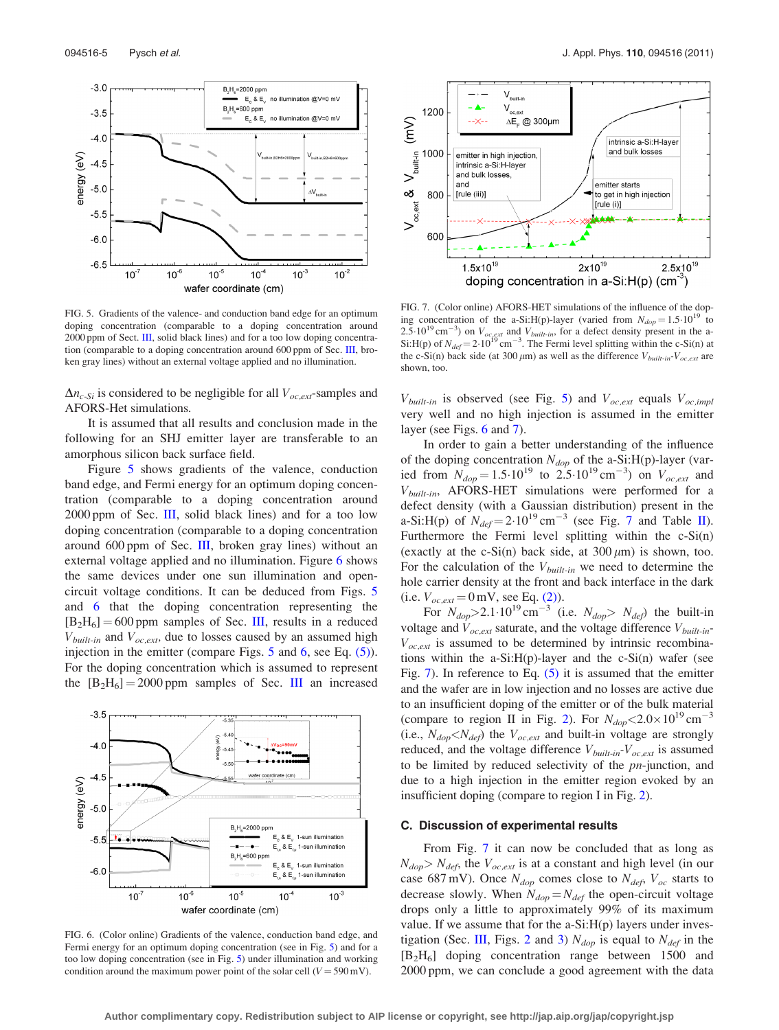<span id="page-4-0"></span>

FIG. 5. Gradients of the valence- and conduction band edge for an optimum doping concentration (comparable to a doping concentration around 2000 ppm of Sect. [III,](#page-1-0) solid black lines) and for a too low doping concentration (comparable to a doping concentration around 600 ppm of Sec. [III](#page-1-0), broken gray lines) without an external voltage applied and no illumination.

 $\Delta n_{c-Si}$  is considered to be negligible for all  $V_{oc,ext}$ -samples and AFORS-Het simulations.

It is assumed that all results and conclusion made in the following for an SHJ emitter layer are transferable to an amorphous silicon back surface field.

Figure 5 shows gradients of the valence, conduction band edge, and Fermi energy for an optimum doping concentration (comparable to a doping concentration around 2000 ppm of Sec. [III,](#page-1-0) solid black lines) and for a too low doping concentration (comparable to a doping concentration around 600 ppm of Sec. [III](#page-1-0), broken gray lines) without an external voltage applied and no illumination. Figure 6 shows the same devices under one sun illumination and opencircuit voltage conditions. It can be deduced from Figs. 5 and 6 that the doping concentration representing the  $[B_2H_6] = 600$  ppm samples of Sec. [III](#page-1-0), results in a reduced  $V_{built-in}$  and  $V_{oc,ext}$ , due to losses caused by an assumed high injection in the emitter (compare Figs. 5 and 6, see Eq. [\(5\)](#page-3-0)). For the doping concentration which is assumed to represent the  $[B_2H_6] = 2000$  ppm samples of Sec. [III](#page-1-0) an increased



FIG. 6. (Color online) Gradients of the valence, conduction band edge, and Fermi energy for an optimum doping concentration (see in Fig. 5) and for a too low doping concentration (see in Fig. 5) under illumination and working condition around the maximum power point of the solar cell ( $V = 590$  mV).



FIG. 7. (Color online) AFORS-HET simulations of the influence of the doping concentration of the a-Si:H(p)-layer (varied from  $N_{dop} = 1.5 \cdot 10^{19}$  to 2.5.10<sup>19</sup> cm<sup>-3</sup>) on  $V_{oc,ext}$  and  $V_{built-in}$ , for a defect density present in the a-Si:H(p) of  $N_{def} = 2.10^{19}$  cm<sup>-3</sup>. The Fermi level splitting within the c-Si(n) at the c-Si(n) back side (at 300  $\mu$ m) as well as the difference  $V_{built-in}-V_{oc,ext}$  are shown, too.

 $V_{built-in}$  is observed (see Fig. 5) and  $V_{oc,ext}$  equals  $V_{oc,impl}$ very well and no high injection is assumed in the emitter layer (see Figs. 6 and 7).

In order to gain a better understanding of the influence of the doping concentration  $N_{dop}$  of the a-Si:H(p)-layer (varied from  $N_{dop} = 1.5 \cdot 10^{19}$  to  $2.5 \cdot 10^{19}$  cm<sup>-3</sup>) on  $V_{oc,ext}$  and  $V_{built-in}$ , AFORS-HET simulations were performed for a defect density (with a Gaussian distribution) present in the a-Si:H(p) of  $N_{def} = 2.10^{19}$  cm<sup>-3</sup> (see Fig. 7 and Table [II](#page-5-0)). Furthermore the Fermi level splitting within the c-Si(n) (exactly at the c-Si(n) back side, at  $300 \mu m$ ) is shown, too. For the calculation of the  $V_{built-in}$  we need to determine the hole carrier density at the front and back interface in the dark (i.e.  $V_{oc,ext} = 0$  mV, see Eq. [\(2\)](#page-2-0)).

For  $N_{dop} > 2.1 \cdot 10^{19} \text{ cm}^{-3}$  (i.e.  $N_{dop} > N_{def}$ ) the built-in voltage and  $V_{oc,ext}$  saturate, and the voltage difference  $V_{built-in}$ - $V_{oc,ext}$  is assumed to be determined by intrinsic recombinations within the a-Si: $H(p)$ -layer and the c-Si(n) wafer (see Fig. 7). In reference to Eq. [\(5\)](#page-3-0) it is assumed that the emitter and the wafer are in low injection and no losses are active due to an insufficient doping of the emitter or of the bulk material (compare to region II in Fig. [2\)](#page-1-0). For  $N_{dop} < 2.0 \times 10^{19}$  cm<sup>-3</sup> (i.e.,  $N_{dop} < N_{def}$ ) the  $V_{oc,ext}$  and built-in voltage are strongly reduced, and the voltage difference  $V_{built-in}$ - $V_{oc,ext}$  is assumed to be limited by reduced selectivity of the pn-junction, and due to a high injection in the emitter region evoked by an insufficient doping (compare to region I in Fig. [2](#page-1-0)).

#### C. Discussion of experimental results

From Fig. 7 it can now be concluded that as long as  $N_{dop} > N_{def}$ , the  $V_{oc,ext}$  is at a constant and high level (in our case 687 mV). Once  $N_{dop}$  comes close to  $N_{def}$ ,  $V_{oc}$  starts to decrease slowly. When  $N_{dop} = N_{def}$  the open-circuit voltage drops only a little to approximately 99% of its maximum value. If we assume that for the a-Si:H(p) layers under inves-tigation (Sec. [III,](#page-1-0) Figs. [2](#page-1-0) and [3](#page-2-0))  $N_{dop}$  is equal to  $N_{def}$  in the [B2H6] doping concentration range between 1500 and 2000 ppm, we can conclude a good agreement with the data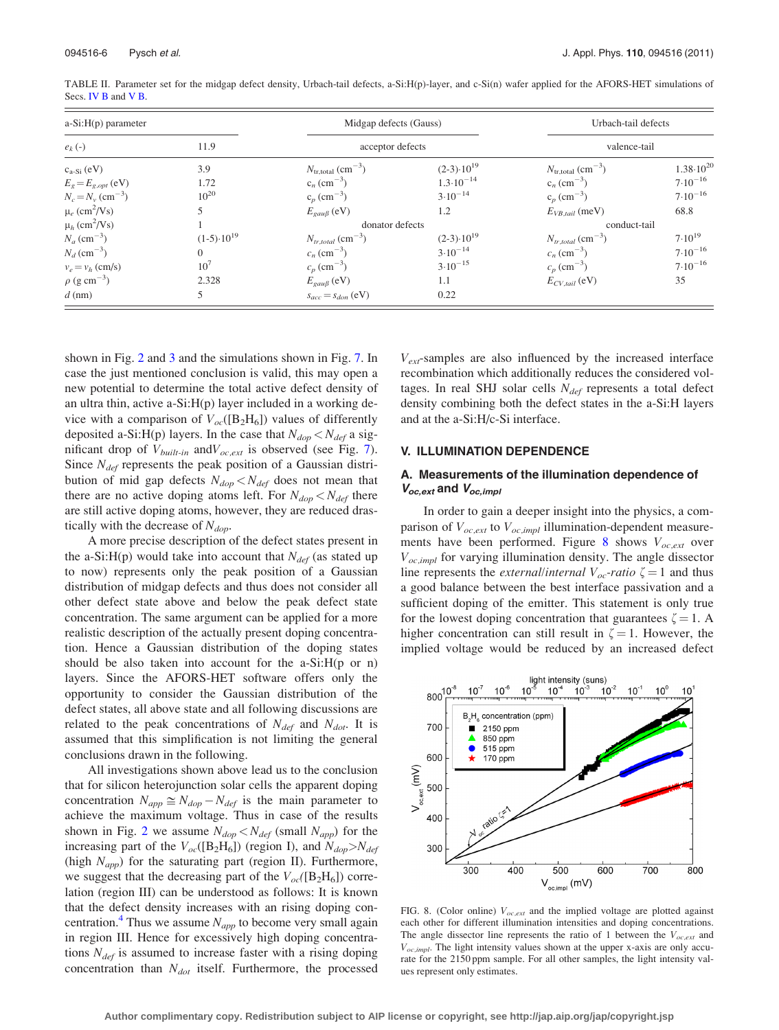| $a-Si:H(p)$ parameter           |                       | Midgap defects (Gauss)                    |                       | Urbach-tail defects                       |                      |
|---------------------------------|-----------------------|-------------------------------------------|-----------------------|-------------------------------------------|----------------------|
| $e_k$ (-)                       | 11.9                  | acceptor defects                          |                       | valence-tail                              |                      |
| $c_{a-Si}$ (eV)                 | 3.9                   | $N_{\text{tr,total}}$ (cm <sup>-3</sup> ) | $(2-3) \cdot 10^{19}$ | $N_{\text{tr,total}}$ (cm <sup>-3</sup> ) | $1.38 \cdot 10^{20}$ |
| $E_g = E_{g,opt}$ (eV)          | 1.72                  | $c_n$ (cm <sup>-3</sup> )                 | $1.3 \cdot 10^{-14}$  | $c_n$ (cm <sup>-3</sup> )                 | $7.10^{-16}$         |
| $N_c = N_v \, \text{(cm}^{-3})$ | $10^{20}$             | $c_n$ (cm <sup>-3</sup> )                 | $3.10^{-14}$          | $c_p$ (cm <sup>-3</sup> )                 | $7.10^{-16}$         |
| $\mu_e$ (cm <sup>2</sup> /Vs)   |                       | $E_{\text{gap}}$ (eV)                     | 1.2                   | $E_{VB, tail}$ (meV)                      | 68.8                 |
| $\mu_h$ (cm <sup>2</sup> /Vs)   |                       | donator defects                           |                       | conduct-tail                              |                      |
| $N_a$ (cm <sup>-3</sup> )       | $(1-5) \cdot 10^{19}$ | $N_{tr,total}$ (cm <sup>-3</sup> )        | $(2-3) \cdot 10^{19}$ | $N_{tr,total}$ (cm <sup>-3</sup> )        | $7.10^{19}$          |
| $N_d$ (cm <sup>-3</sup> )       | $\Omega$              | $c_n$ (cm <sup>-3</sup> )                 | $3.10^{-14}$          | $c_n$ (cm <sup>-3</sup> )                 | $7.10^{-16}$         |
| $v_e = v_h$ (cm/s)              | 10 <sup>7</sup>       | $c_p$ (cm <sup>-3</sup> )                 | $3.10^{-15}$          | $c_p$ (cm <sup>-3</sup> )                 | $7.10^{-16}$         |
| $\rho$ (g cm <sup>-3</sup> )    | 2.328                 | $E_{\text{gau}\beta}$ (eV)                | 1.1                   | $E_{CV\_tail}$ (eV)                       | 35                   |
| $d$ (nm)                        | 5                     | $s_{acc} = s_{don}$ (eV)                  | 0.22                  |                                           |                      |

<span id="page-5-0"></span>TABLE II. Parameter set for the midgap defect density, Urbach-tail defects, a-Si:H(p)-layer, and c-Si(n) wafer applied for the AFORS-HET simulations of Secs. [IV B](#page-3-0) and [V B.](#page-6-0)

shown in Fig. [2](#page-1-0) and [3](#page-2-0) and the simulations shown in Fig. [7.](#page-4-0) In case the just mentioned conclusion is valid, this may open a new potential to determine the total active defect density of an ultra thin, active a-Si:H(p) layer included in a working device with a comparison of  $V_{oc}([B_2H_6])$  values of differently deposited a-Si:H(p) layers. In the case that  $N_{dop} < N_{def}$  a significant drop of  $V_{built-in}$  and  $V_{oc,ext}$  is observed (see Fig. [7](#page-4-0)). Since  $N_{def}$  represents the peak position of a Gaussian distribution of mid gap defects  $N_{dop} < N_{def}$  does not mean that there are no active doping atoms left. For  $N_{dop} < N_{def}$  there are still active doping atoms, however, they are reduced drastically with the decrease of  $N_{\text{dop}}$ .

A more precise description of the defect states present in the a-Si:H(p) would take into account that  $N_{def}$  (as stated up to now) represents only the peak position of a Gaussian distribution of midgap defects and thus does not consider all other defect state above and below the peak defect state concentration. The same argument can be applied for a more realistic description of the actually present doping concentration. Hence a Gaussian distribution of the doping states should be also taken into account for the a-Si:H(p or n) layers. Since the AFORS-HET software offers only the opportunity to consider the Gaussian distribution of the defect states, all above state and all following discussions are related to the peak concentrations of  $N_{def}$  and  $N_{dot}$ . It is assumed that this simplification is not limiting the general conclusions drawn in the following.

All investigations shown above lead us to the conclusion that for silicon heterojunction solar cells the apparent doping concentration  $N_{app} \cong N_{dop} - N_{def}$  is the main parameter to achieve the maximum voltage. Thus in case of the results shown in Fig. [2](#page-1-0) we assume  $N_{dop} < N_{def}$  (small  $N_{app}$ ) for the increasing part of the  $V_{oc}([B_2H_6])$  (region I), and  $N_{dop} > N_{def}$ (high  $N_{app}$ ) for the saturating part (region II). Furthermore, we suggest that the decreasing part of the  $V_{oc}([B_2H_6])$  correlation (region III) can be understood as follows: It is known that the defect density increases with an rising doping concentration.<sup>4</sup> Thus we assume  $N_{app}$  to become very small again in region III. Hence for excessively high doping concentrations  $N_{def}$  is assumed to increase faster with a rising doping concentration than  $N_{dot}$  itself. Furthermore, the processed  $V_{ext}$ -samples are also influenced by the increased interface recombination which additionally reduces the considered voltages. In real SHJ solar cells  $N_{def}$  represents a total defect density combining both the defect states in the a-Si:H layers and at the a-Si:H/c-Si interface.

# V. ILLUMINATION DEPENDENCE

# A. Measurements of the illumination dependence of  $V_{oc,ext}$  and  $V_{oc,impl}$

In order to gain a deeper insight into the physics, a comparison of  $V_{oc,ext}$  to  $V_{oc,impl}$  illumination-dependent measurements have been performed. Figure 8 shows  $V_{oc,ext}$  over  $V_{oc,impl}$  for varying illumination density. The angle dissector line represents the *external/internal*  $V_{oc}$ -ratio  $\zeta = 1$  and thus a good balance between the best interface passivation and a sufficient doping of the emitter. This statement is only true for the lowest doping concentration that guarantees  $\zeta = 1$ . A higher concentration can still result in  $\zeta = 1$ . However, the implied voltage would be reduced by an increased defect



FIG. 8. (Color online)  $V_{oc,ext}$  and the implied voltage are plotted against each other for different illumination intensities and doping concentrations. The angle dissector line represents the ratio of 1 between the  $V_{oc,ext}$  and  $V_{oc,impl}$ . The light intensity values shown at the upper x-axis are only accurate for the 2150 ppm sample. For all other samples, the light intensity values represent only estimates.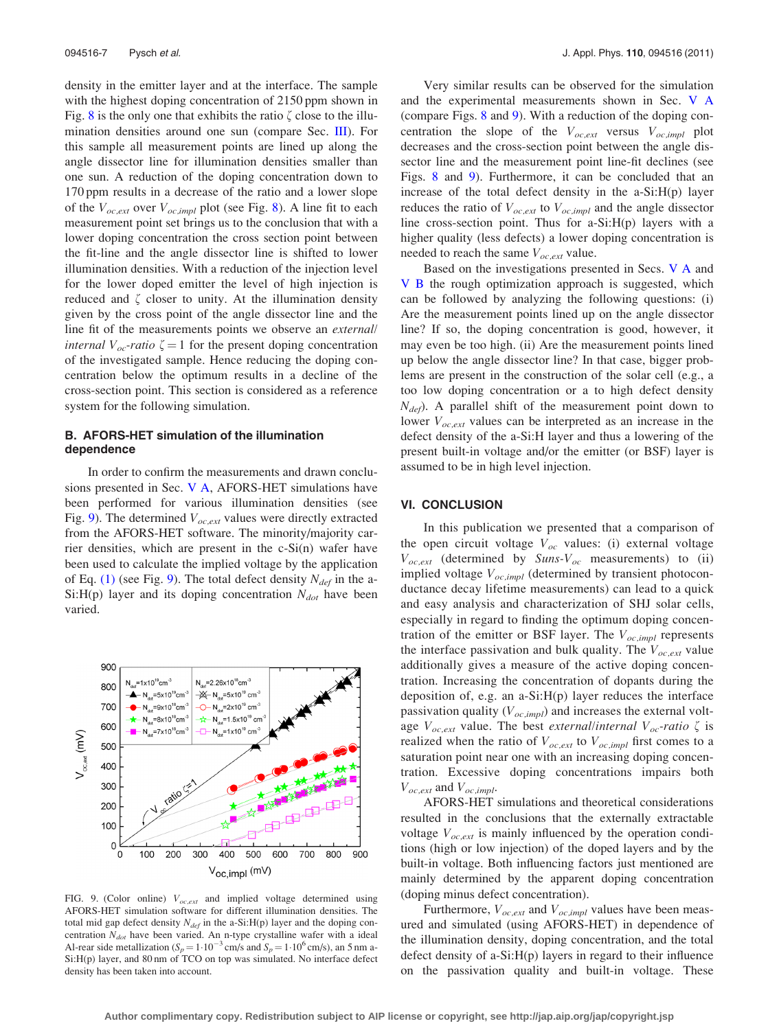<span id="page-6-0"></span>density in the emitter layer and at the interface. The sample with the highest doping concentration of 2150 ppm shown in Fig. [8](#page-5-0) is the only one that exhibits the ratio  $\zeta$  close to the illumination densities around one sun (compare Sec. [III](#page-1-0)). For this sample all measurement points are lined up along the angle dissector line for illumination densities smaller than one sun. A reduction of the doping concentration down to 170 ppm results in a decrease of the ratio and a lower slope of the  $V_{oc,ext}$  over  $V_{oc,impl}$  plot (see Fig. [8](#page-5-0)). A line fit to each measurement point set brings us to the conclusion that with a lower doping concentration the cross section point between the fit-line and the angle dissector line is shifted to lower illumination densities. With a reduction of the injection level for the lower doped emitter the level of high injection is reduced and  $\zeta$  closer to unity. At the illumination density given by the cross point of the angle dissector line and the line fit of the measurements points we observe an external/ *internal*  $V_{oc}$ -ratio  $\zeta = 1$  for the present doping concentration of the investigated sample. Hence reducing the doping concentration below the optimum results in a decline of the cross-section point. This section is considered as a reference system for the following simulation.

# B. AFORS-HET simulation of the illumination dependence

In order to confirm the measurements and drawn conclusions presented in Sec. [V A,](#page-5-0) AFORS-HET simulations have been performed for various illumination densities (see Fig. 9). The determined  $V_{oc,ext}$  values were directly extracted from the AFORS-HET software. The minority/majority carrier densities, which are present in the c-Si(n) wafer have been used to calculate the implied voltage by the application of Eq. [\(1\)](#page-1-0) (see Fig. 9). The total defect density  $N_{def}$  in the a-Si:H(p) layer and its doping concentration  $N_{dot}$  have been varied.



FIG. 9. (Color online)  $V_{oc,ext}$  and implied voltage determined using AFORS-HET simulation software for different illumination densities. The total mid gap defect density  $N_{def}$  in the a-Si:H(p) layer and the doping concentration  $N_{dot}$  have been varied. An n-type crystalline wafer with a ideal Al-rear side metallization ( $S_p = 1.10^{-3}$  cm/s and  $S_p = 1.10^6$  cm/s), an 5 nm a-Si:H(p) layer, and 80 nm of TCO on top was simulated. No interface defect density has been taken into account.

Very similar results can be observed for the simulation and the experimental measurements shown in Sec. [V A](#page-5-0) (compare Figs. [8](#page-5-0) and 9). With a reduction of the doping concentration the slope of the  $V_{oc,ext}$  versus  $V_{oc,impl}$  plot decreases and the cross-section point between the angle dissector line and the measurement point line-fit declines (see Figs. [8](#page-5-0) and 9). Furthermore, it can be concluded that an increase of the total defect density in the a-Si:H(p) layer reduces the ratio of  $V_{oc,ext}$  to  $V_{oc,impl}$  and the angle dissector line cross-section point. Thus for a-Si:H(p) layers with a higher quality (less defects) a lower doping concentration is needed to reach the same  $V_{oc,ext}$  value.

Based on the investigations presented in Secs. V A and V B the rough optimization approach is suggested, which can be followed by analyzing the following questions: (i) Are the measurement points lined up on the angle dissector line? If so, the doping concentration is good, however, it may even be too high. (ii) Are the measurement points lined up below the angle dissector line? In that case, bigger problems are present in the construction of the solar cell (e.g., a too low doping concentration or a to high defect density  $N_{def}$ ). A parallel shift of the measurement point down to lower  $V_{oc,ext}$  values can be interpreted as an increase in the defect density of the a-Si:H layer and thus a lowering of the present built-in voltage and/or the emitter (or BSF) layer is assumed to be in high level injection.

#### VI. CONCLUSION

In this publication we presented that a comparison of the open circuit voltage  $V_{oc}$  values: (i) external voltage  $V_{oc,ext}$  (determined by Suns- $V_{oc}$  measurements) to (ii) implied voltage  $V_{oc,impl}$  (determined by transient photoconductance decay lifetime measurements) can lead to a quick and easy analysis and characterization of SHJ solar cells, especially in regard to finding the optimum doping concentration of the emitter or BSF layer. The  $V_{oc,impl}$  represents the interface passivation and bulk quality. The  $V_{oc,ext}$  value additionally gives a measure of the active doping concentration. Increasing the concentration of dopants during the deposition of, e.g. an a-Si:H(p) layer reduces the interface passivation quality ( $V_{oc,impl}$ ) and increases the external voltage  $V_{oc,ext}$  value. The best external/internal  $V_{oc}$ -ratio  $\zeta$  is realized when the ratio of  $V_{oc,ext}$  to  $V_{oc,impl}$  first comes to a saturation point near one with an increasing doping concentration. Excessive doping concentrations impairs both  $V_{oc,ext}$  and  $V_{oc,impl}$ .

AFORS-HET simulations and theoretical considerations resulted in the conclusions that the externally extractable voltage  $V_{oc,ext}$  is mainly influenced by the operation conditions (high or low injection) of the doped layers and by the built-in voltage. Both influencing factors just mentioned are mainly determined by the apparent doping concentration (doping minus defect concentration).

Furthermore,  $V_{oc,ext}$  and  $V_{oc,impl}$  values have been measured and simulated (using AFORS-HET) in dependence of the illumination density, doping concentration, and the total defect density of a-Si:H(p) layers in regard to their influence on the passivation quality and built-in voltage. These